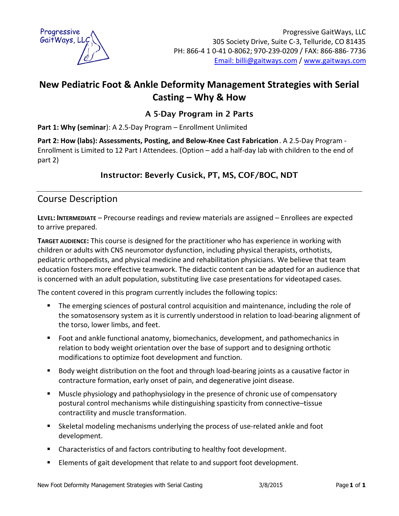

# **New Pediatric Foot & Ankle Deformity Management Strategies with Serial Casting – Why & How**

## **A 5-Day Program in 2 Parts**

**Part 1: Why (seminar**): A 2.5-Day Program – Enrollment Unlimited

**Part 2: How (labs): Assessments, Posting, and Below-Knee Cast Fabrication**. A 2.5-Day Program - Enrollment is Limited to 12 Part I Attendees. (Option – add a half-day lab with children to the end of part 2)

# **Instructor: Beverly Cusick, PT, MS, COF/BOC, NDT**

# Course Description

**LEVEL: INTERMEDIATE** – Precourse readings and review materials are assigned – Enrollees are expected to arrive prepared.

**TARGET AUDIENCE:** This course is designed for the practitioner who has experience in working with children or adults with CNS neuromotor dysfunction, including physical therapists, orthotists, pediatric orthopedists, and physical medicine and rehabilitation physicians. We believe that team education fosters more effective teamwork. The didactic content can be adapted for an audience that is concerned with an adult population, substituting live case presentations for videotaped cases.

The content covered in this program currently includes the following topics:

- ß The emerging sciences of postural control acquisition and maintenance, including the role of the somatosensory system as it is currently understood in relation to load-bearing alignment of the torso, lower limbs, and feet.
- **F** Foot and ankle functional anatomy, biomechanics, development, and pathomechanics in relation to body weight orientation over the base of support and to designing orthotic modifications to optimize foot development and function.
- **Body weight distribution on the foot and through load-bearing joints as a causative factor in** contracture formation, early onset of pain, and degenerative joint disease.
- **Muscle physiology and pathophysiology in the presence of chronic use of compensatory** postural control mechanisms while distinguishing spasticity from connective–tissue contractility and muscle transformation.
- **Skeletal modeling mechanisms underlying the process of use-related ankle and foot** development.
- **EXP** Characteristics of and factors contributing to healthy foot development.
- **Elements of gait development that relate to and support foot development.**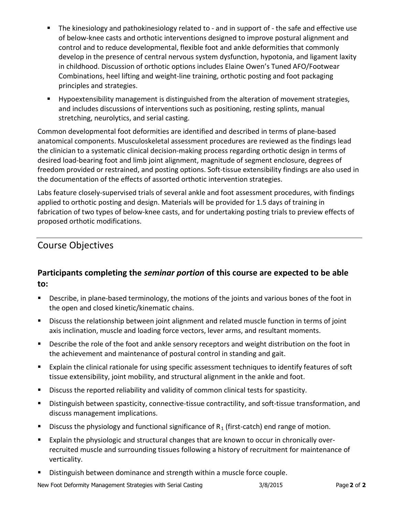- The kinesiology and pathokinesiology related to and in support of the safe and effective use of below-knee casts and orthotic interventions designed to improve postural alignment and control and to reduce developmental, flexible foot and ankle deformities that commonly develop in the presence of central nervous system dysfunction, hypotonia, and ligament laxity in childhood. Discussion of orthotic options includes Elaine Owen's Tuned AFO/Footwear Combinations, heel lifting and weight-line training, orthotic posting and foot packaging principles and strategies.
- **Hypoextensibility management is distinguished from the alteration of movement strategies,** and includes discussions of interventions such as positioning, resting splints, manual stretching, neurolytics, and serial casting.

Common developmental foot deformities are identified and described in terms of plane-based anatomical components. Musculoskeletal assessment procedures are reviewed as the findings lead the clinician to a systematic clinical decision-making process regarding orthotic design in terms of desired load-bearing foot and limb joint alignment, magnitude of segment enclosure, degrees of freedom provided or restrained, and posting options. Soft-tissue extensibility findings are also used in the documentation of the effects of assorted orthotic intervention strategies.

Labs feature closely-supervised trials of several ankle and foot assessment procedures, with findings applied to orthotic posting and design. Materials will be provided for 1.5 days of training in fabrication of two types of below-knee casts, and for undertaking posting trials to preview effects of proposed orthotic modifications.

# Course Objectives

## **Participants completing the** *seminar portion* **of this course are expected to be able to:**

- **•** Describe, in plane-based terminology, the motions of the joints and various bones of the foot in the open and closed kinetic/kinematic chains.
- **EXED** Discuss the relationship between joint alignment and related muscle function in terms of joint axis inclination, muscle and loading force vectors, lever arms, and resultant moments.
- **BED DESCRIPT DESCRIPT DESCRIPT ON A** DESCRIPT ON the foot in **PESC** in the foot in the achievement and maintenance of postural control in standing and gait.
- **Explain the clinical rationale for using specific assessment techniques to identify features of soft** tissue extensibility, joint mobility, and structural alignment in the ankle and foot.
- **EXEDENTIFY Discuss the reported reliability and validity of common clinical tests for spasticity.**
- **EXED** Distinguish between spasticity, connective-tissue contractility, and soft-tissue transformation, and discuss management implications.
- **Discuss the physiology and functional significance of R<sub>1</sub> (first-catch) end range of motion.**
- **Explain the physiologic and structural changes that are known to occur in chronically over**recruited muscle and surrounding tissues following a history of recruitment for maintenance of verticality.
- **Distinguish between dominance and strength within a muscle force couple.**

New Foot Deformity Management Strategies with Serial Casting 3/8/2015 Page **2** of **2**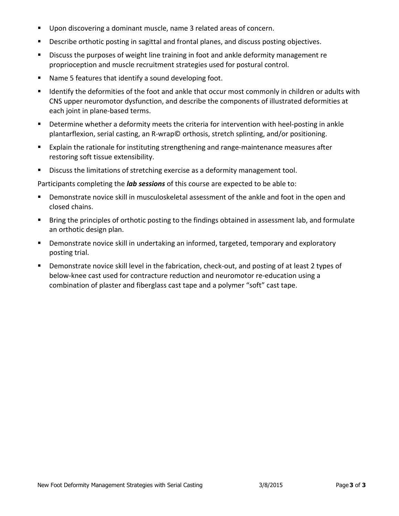- **Upon discovering a dominant muscle, name 3 related areas of concern.**
- **•** Describe orthotic posting in sagittal and frontal planes, and discuss posting objectives.
- **EXED** Discuss the purposes of weight line training in foot and ankle deformity management re proprioception and muscle recruitment strategies used for postural control.
- Name 5 features that identify a sound developing foot.
- **If Identify the deformities of the foot and ankle that occur most commonly in children or adults with** CNS upper neuromotor dysfunction, and describe the components of illustrated deformities at each joint in plane-based terms.
- **•** Determine whether a deformity meets the criteria for intervention with heel-posting in ankle plantarflexion, serial casting, an R-wrap© orthosis, stretch splinting, and/or positioning.
- **Explain the rationale for instituting strengthening and range-maintenance measures after** restoring soft tissue extensibility.
- **Discuss the limitations of stretching exercise as a deformity management tool.**

Participants completing the *lab sessions* of this course are expected to be able to:

- **•** Demonstrate novice skill in musculoskeletal assessment of the ankle and foot in the open and closed chains.
- **Bring the principles of orthotic posting to the findings obtained in assessment lab, and formulate** an orthotic design plan.
- **•** Demonstrate novice skill in undertaking an informed, targeted, temporary and exploratory posting trial.
- **•** Demonstrate novice skill level in the fabrication, check-out, and posting of at least 2 types of below-knee cast used for contracture reduction and neuromotor re-education using a combination of plaster and fiberglass cast tape and a polymer "soft" cast tape.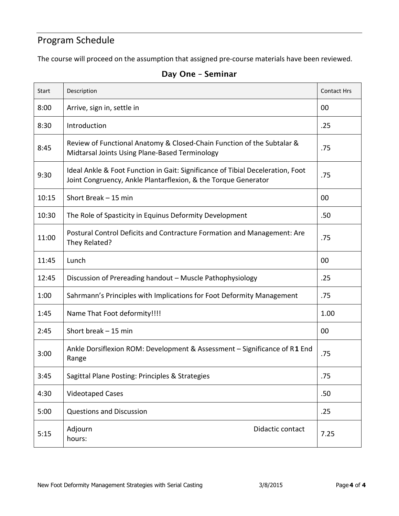# Program Schedule

The course will proceed on the assumption that assigned pre-course materials have been reviewed.

| Start | Description                                                                                                                                      | <b>Contact Hrs</b> |
|-------|--------------------------------------------------------------------------------------------------------------------------------------------------|--------------------|
| 8:00  | Arrive, sign in, settle in                                                                                                                       | 00                 |
| 8:30  | Introduction                                                                                                                                     | .25                |
| 8:45  | Review of Functional Anatomy & Closed-Chain Function of the Subtalar &<br>Midtarsal Joints Using Plane-Based Terminology                         | .75                |
| 9:30  | Ideal Ankle & Foot Function in Gait: Significance of Tibial Deceleration, Foot<br>Joint Congruency, Ankle Plantarflexion, & the Torque Generator | .75                |
| 10:15 | Short Break - 15 min                                                                                                                             | 00                 |
| 10:30 | The Role of Spasticity in Equinus Deformity Development                                                                                          | .50                |
| 11:00 | Postural Control Deficits and Contracture Formation and Management: Are<br>They Related?                                                         | .75                |
| 11:45 | Lunch                                                                                                                                            | 00                 |
| 12:45 | Discussion of Prereading handout - Muscle Pathophysiology                                                                                        | .25                |
| 1:00  | Sahrmann's Principles with Implications for Foot Deformity Management                                                                            | .75                |
| 1:45  | Name That Foot deformity!!!!                                                                                                                     | 1.00               |
| 2:45  | Short break - 15 min                                                                                                                             | 00                 |
| 3:00  | Ankle Dorsiflexion ROM: Development & Assessment - Significance of R1 End<br>Range                                                               | .75                |
| 3:45  | Sagittal Plane Posting: Principles & Strategies                                                                                                  | .75                |
| 4:30  | <b>Videotaped Cases</b>                                                                                                                          | .50                |
| 5:00  | <b>Questions and Discussion</b>                                                                                                                  | .25                |
| 5:15  | Adjourn<br>Didactic contact<br>hours:                                                                                                            | 7.25               |

#### **Day One – Seminar**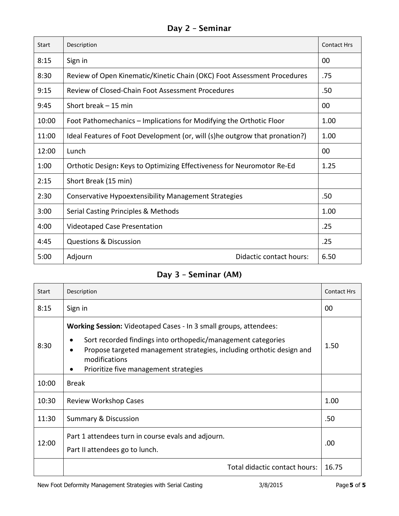# **Day 2 – Seminar**

| <b>Start</b> | Description                                                                 | <b>Contact Hrs</b> |
|--------------|-----------------------------------------------------------------------------|--------------------|
| 8:15         | Sign in                                                                     | 00                 |
| 8:30         | Review of Open Kinematic/Kinetic Chain (OKC) Foot Assessment Procedures     | .75                |
| 9:15         | Review of Closed-Chain Foot Assessment Procedures                           | .50                |
| 9:45         | Short break $-15$ min                                                       | 00                 |
| 10:00        | Foot Pathomechanics – Implications for Modifying the Orthotic Floor         | 1.00               |
| 11:00        | Ideal Features of Foot Development (or, will (s)he outgrow that pronation?) | 1.00               |
| 12:00        | Lunch                                                                       | 00                 |
| 1:00         | Orthotic Design: Keys to Optimizing Effectiveness for Neuromotor Re-Ed      | 1.25               |
| 2:15         | Short Break (15 min)                                                        |                    |
| 2:30         | Conservative Hypoextensibility Management Strategies                        | .50                |
| 3:00         | Serial Casting Principles & Methods                                         | 1.00               |
| 4:00         | <b>Videotaped Case Presentation</b>                                         | .25                |
| 4:45         | <b>Questions &amp; Discussion</b>                                           | .25                |
| 5:00         | Didactic contact hours:<br>Adjourn                                          | 6.50               |

## **Day 3 – Seminar (AM)**

| <b>Start</b> | Description                                                                                                                                                                                                                                                                                                | <b>Contact Hrs</b> |
|--------------|------------------------------------------------------------------------------------------------------------------------------------------------------------------------------------------------------------------------------------------------------------------------------------------------------------|--------------------|
| 8:15         | Sign in                                                                                                                                                                                                                                                                                                    | 00                 |
| 8:30         | <b>Working Session:</b> Videotaped Cases - In 3 small groups, attendees:<br>Sort recorded findings into orthopedic/management categories<br>٠<br>Propose targeted management strategies, including orthotic design and<br>$\bullet$<br>modifications<br>Prioritize five management strategies<br>$\bullet$ | 1.50               |
| 10:00        | <b>Break</b>                                                                                                                                                                                                                                                                                               |                    |
| 10:30        | Review Workshop Cases                                                                                                                                                                                                                                                                                      | 1.00               |
| 11:30        | <b>Summary &amp; Discussion</b>                                                                                                                                                                                                                                                                            | .50                |
| 12:00        | Part 1 attendees turn in course evals and adjourn.<br>Part II attendees go to lunch.                                                                                                                                                                                                                       | .00                |
|              | Total didactic contact hours:                                                                                                                                                                                                                                                                              | 16.75              |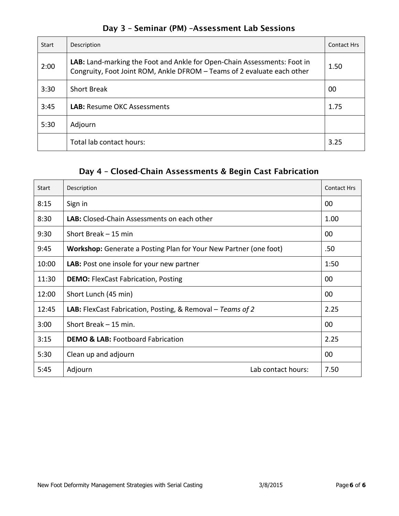| Start | Description                                                                                                                                         | <b>Contact Hrs</b> |
|-------|-----------------------------------------------------------------------------------------------------------------------------------------------------|--------------------|
| 2:00  | LAB: Land-marking the Foot and Ankle for Open-Chain Assessments: Foot in<br>Congruity, Foot Joint ROM, Ankle DFROM - Teams of 2 evaluate each other | 1.50               |
| 3:30  | <b>Short Break</b>                                                                                                                                  | 00                 |
| 3:45  | <b>LAB:</b> Resume OKC Assessments                                                                                                                  | 1.75               |
| 5:30  | Adjourn                                                                                                                                             |                    |
|       | Total lab contact hours:                                                                                                                            | 3.25               |

## **Day 3 – Seminar (PM) –Assessment Lab Sessions**

## **Day 4 – Closed-Chain Assessments & Begin Cast Fabrication**

| <b>Start</b> | Description                                                       | <b>Contact Hrs</b> |
|--------------|-------------------------------------------------------------------|--------------------|
| 8:15         | Sign in                                                           | 00                 |
| 8:30         | LAB: Closed-Chain Assessments on each other                       | 1.00               |
| 9:30         | Short Break – 15 min                                              | 00                 |
| 9:45         | Workshop: Generate a Posting Plan for Your New Partner (one foot) | .50                |
| 10:00        | <b>LAB:</b> Post one insole for your new partner                  | 1:50               |
| 11:30        | <b>DEMO:</b> FlexCast Fabrication, Posting                        | 00                 |
| 12:00        | Short Lunch (45 min)                                              | 00                 |
| 12:45        | <b>LAB:</b> FlexCast Fabrication, Posting, & Removal – Teams of 2 | 2.25               |
| 3:00         | Short Break - 15 min.                                             | 00                 |
| 3:15         | <b>DEMO &amp; LAB: Footboard Fabrication</b>                      | 2.25               |
| 5:30         | Clean up and adjourn                                              | 00                 |
| 5:45         | Lab contact hours:<br>Adjourn                                     | 7.50               |